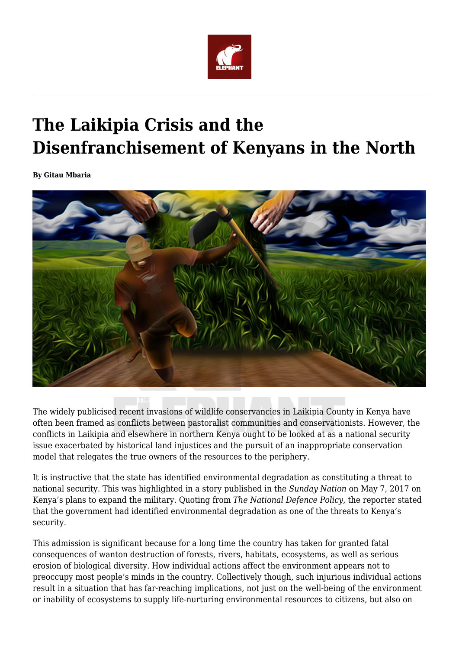

# **The Laikipia Crisis and the Disenfranchisement of Kenyans in the North**

**By Gitau Mbaria**



The widely publicised recent invasions of wildlife conservancies in Laikipia County in Kenya have often been framed as conflicts between pastoralist communities and conservationists. However, the conflicts in Laikipia and elsewhere in northern Kenya ought to be looked at as a national security issue exacerbated by historical land injustices and the pursuit of an inappropriate conservation model that relegates the true owners of the resources to the periphery.

It is instructive that the state has identified environmental degradation as constituting a threat to national security. This was highlighted in a story published in the *Sunday Nation* on May 7, 2017 on Kenya's plans to expand the military. Quoting from *The National Defence Policy*, the reporter stated that the government had identified environmental degradation as one of the threats to Kenya's security.

This admission is significant because for a long time the country has taken for granted fatal consequences of wanton destruction of forests, rivers, habitats, ecosystems, as well as serious erosion of biological diversity. How individual actions affect the environment appears not to preoccupy most people's minds in the country. Collectively though, such injurious individual actions result in a situation that has far-reaching implications, not just on the well-being of the environment or inability of ecosystems to supply life-nurturing environmental resources to citizens, but also on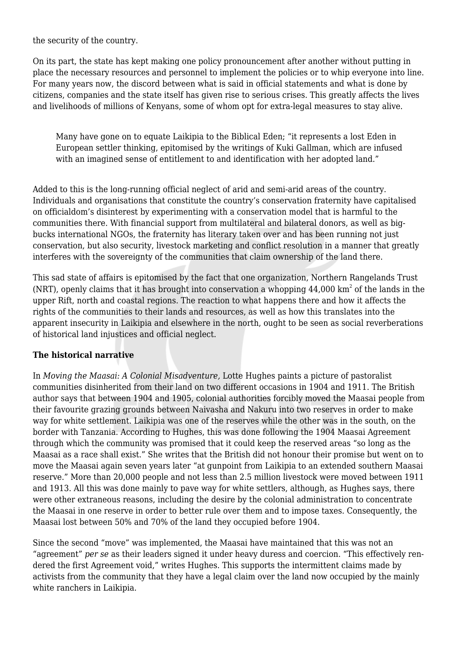the security of the country.

On its part, the state has kept making one policy pronouncement after another without putting in place the necessary resources and personnel to implement the policies or to whip everyone into line. For many years now, the discord between what is said in official statements and what is done by citizens, companies and the state itself has given rise to serious crises. This greatly affects the lives and livelihoods of millions of Kenyans, some of whom opt for extra-legal measures to stay alive.

Many have gone on to equate Laikipia to the Biblical Eden; "it represents a lost Eden in European settler thinking, epitomised by the writings of Kuki Gallman, which are infused with an imagined sense of entitlement to and identification with her adopted land."

Added to this is the long-running official neglect of arid and semi-arid areas of the country. Individuals and organisations that constitute the country's conservation fraternity have capitalised on officialdom's disinterest by experimenting with a conservation model that is harmful to the communities there. With financial support from multilateral and bilateral donors, as well as bigbucks international NGOs, the fraternity has literary taken over and has been running not just conservation, but also security, livestock marketing and conflict resolution in a manner that greatly interferes with the sovereignty of the communities that claim ownership of the land there.

This sad state of affairs is epitomised by the fact that one organization, Northern Rangelands Trust (NRT), openly claims that it has brought into conservation a whopping  $44,000 \text{ km}^2$  of the lands in the upper Rift, north and coastal regions. The reaction to what happens there and how it affects the rights of the communities to their lands and resources, as well as how this translates into the apparent insecurity in Laikipia and elsewhere in the north, ought to be seen as social reverberations of historical land injustices and official neglect.

#### **The historical narrative**

In *Moving the Maasai: A Colonial Misadventure,* Lotte Hughes paints a picture of pastoralist communities disinherited from their land on two different occasions in 1904 and 1911. The British author says that between 1904 and 1905, colonial authorities forcibly moved the Maasai people from their favourite grazing grounds between Naivasha and Nakuru into two reserves in order to make way for white settlement. Laikipia was one of the reserves while the other was in the south, on the border with Tanzania. According to Hughes, this was done following the 1904 Maasai Agreement through which the community was promised that it could keep the reserved areas "so long as the Maasai as a race shall exist." She writes that the British did not honour their promise but went on to move the Maasai again seven years later "at gunpoint from Laikipia to an extended southern Maasai reserve." More than 20,000 people and not less than 2.5 million livestock were moved between 1911 and 1913. All this was done mainly to pave way for white settlers, although, as Hughes says, there were other extraneous reasons, including the desire by the colonial administration to concentrate the Maasai in one reserve in order to better rule over them and to impose taxes. Consequently, the Maasai lost between 50% and 70% of the land they occupied before 1904.

Since the second "move" was implemented, the Maasai have maintained that this was not an "agreement" *per se* as their leaders signed it under heavy duress and coercion. "This effectively rendered the first Agreement void," writes Hughes. This supports the intermittent claims made by activists from the community that they have a legal claim over the land now occupied by the mainly white ranchers in Laikipia.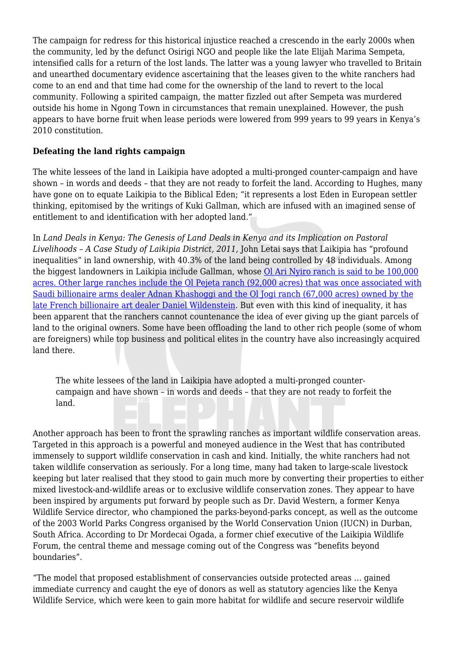The campaign for redress for this historical injustice reached a crescendo in the early 2000s when the community, led by the defunct Osirigi NGO and people like the late Elijah Marima Sempeta, intensified calls for a return of the lost lands. The latter was a young lawyer who travelled to Britain and unearthed documentary evidence ascertaining that the leases given to the white ranchers had come to an end and that time had come for the ownership of the land to revert to the local community. Following a spirited campaign, the matter fizzled out after Sempeta was murdered outside his home in Ngong Town in circumstances that remain unexplained. However, the push appears to have borne fruit when lease periods were lowered from 999 years to 99 years in Kenya's 2010 constitution.

# **Defeating the land rights campaign**

The white lessees of the land in Laikipia have adopted a multi-pronged counter-campaign and have shown – in words and deeds – that they are not ready to forfeit the land. According to Hughes, many have gone on to equate Laikipia to the Biblical Eden; "it represents a lost Eden in European settler thinking, epitomised by the writings of Kuki Gallman, which are infused with an imagined sense of entitlement to and identification with her adopted land."

In *Land Deals in Kenya: The Genesis of Land Deals in Kenya and its Implication on Pastoral Livelihoods – A Case Study of Laikipia District, 2011,* John Letai says that Laikipia has "profound inequalities" in land ownership, with 40.3% of the land being controlled by 48 individuals. Among the biggest landowners in Laikipia include Gallman, whose [Ol Ari Nyiro ranch is said to be 100,000](http://nairobiwire.com/2016/07/revealed-kenyas-biggest-landowners.html) [acres. Other large ranches include the Ol Pejeta ranch \(92,000 acres\) that was once associated with](http://nairobiwire.com/2016/07/revealed-kenyas-biggest-landowners.html) [Saudi billionaire arms dealer Adnan Khashoggi and the Ol Jogi ranch \(67,000 acres\) owned by the](http://nairobiwire.com/2016/07/revealed-kenyas-biggest-landowners.html) [late French billionaire art dealer Daniel Wildenstein](http://nairobiwire.com/2016/07/revealed-kenyas-biggest-landowners.html). But even with this kind of inequality, it has been apparent that the ranchers cannot countenance the idea of ever giving up the giant parcels of land to the original owners. Some have been offloading the land to other rich people (some of whom are foreigners) while top business and political elites in the country have also increasingly acquired land there.

The white lessees of the land in Laikipia have adopted a multi-pronged countercampaign and have shown – in words and deeds – that they are not ready to forfeit the land.

Another approach has been to front the sprawling ranches as important wildlife conservation areas. Targeted in this approach is a powerful and moneyed audience in the West that has contributed immensely to support wildlife conservation in cash and kind. Initially, the white ranchers had not taken wildlife conservation as seriously. For a long time, many had taken to large-scale livestock keeping but later realised that they stood to gain much more by converting their properties to either mixed livestock-and-wildlife areas or to exclusive wildlife conservation zones. They appear to have been inspired by arguments put forward by people such as Dr. David Western, a former Kenya Wildlife Service director, who championed the parks-beyond-parks concept, as well as the outcome of the 2003 World Parks Congress organised by the World Conservation Union (IUCN) in Durban, South Africa. According to Dr Mordecai Ogada, a former chief executive of the Laikipia Wildlife Forum, the central theme and message coming out of the Congress was "benefits beyond boundaries".

"The model that proposed establishment of conservancies outside protected areas … gained immediate currency and caught the eye of donors as well as statutory agencies like the Kenya Wildlife Service, which were keen to gain more habitat for wildlife and secure reservoir wildlife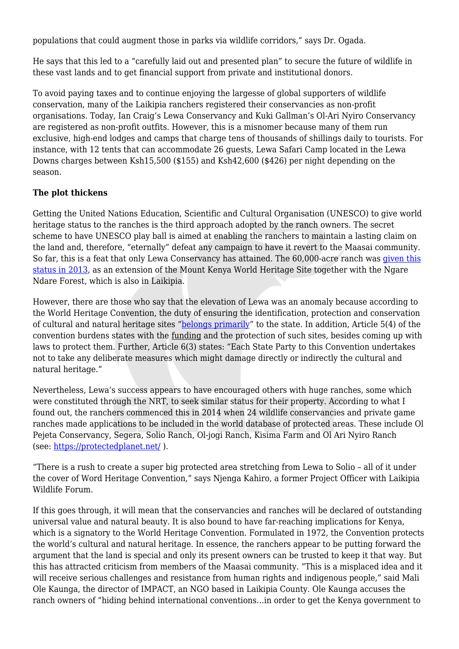populations that could augment those in parks via wildlife corridors," says Dr. Ogada.

He says that this led to a "carefully laid out and presented plan" to secure the future of wildlife in these vast lands and to get financial support from private and institutional donors.

To avoid paying taxes and to continue enjoying the largesse of global supporters of wildlife conservation, many of the Laikipia ranchers registered their conservancies as non-profit organisations. Today, Ian Craig's Lewa Conservancy and Kuki Gallman's Ol-Ari Nyiro Conservancy are registered as non-profit outfits. However, this is a misnomer because many of them run exclusive, high-end lodges and camps that charge tens of thousands of shillings daily to tourists. For instance, with 12 tents that can accommodate 26 guests, Lewa Safari Camp located in the Lewa Downs charges between Ksh15,500 (\$155) and Ksh42,600 (\$426) per night depending on the season.

# **The plot thickens**

Getting the United Nations Education, Scientific and Cultural Organisation (UNESCO) to give world heritage status to the ranches is the third approach adopted by the ranch owners. The secret scheme to have UNESCO play ball is aimed at enabling the ranchers to maintain a lasting claim on the land and, therefore, "eternally" defeat any campaign to have it revert to the Maasai community. So far, this is a feat that only Lewa Conservancy has attained. The 60,000-acre ranch was [given this](http://www.lewa.org/all-about-lewa/a-world-heritage-site/) [status in 2013,](http://www.lewa.org/all-about-lewa/a-world-heritage-site/) as an extension of the Mount Kenya World Heritage Site together with the Ngare Ndare Forest, which is also in Laikipia.

However, there are those who say that the elevation of Lewa was an anomaly because according to the World Heritage Convention, the duty of ensuring the identification, protection and conservation of cultural and natural heritage sites "[belongs primarily](http://whc.unesco.org/en/conventiontext/)" to the state. In addition, Article 5(4) of the convention burdens states with the funding and the protection of such sites, besides coming up with laws to protect them. Further, Article 6(3) states: "Each State Party to this Convention undertakes not to take any deliberate measures which might damage directly or indirectly the cultural and natural heritage."

Nevertheless, Lewa's success appears to have encouraged others with huge ranches, some which were constituted through the NRT, to seek similar status for their property. According to what I found out, the ranchers commenced this in 2014 when 24 wildlife conservancies and private game ranches made applications to be included in the world database of protected areas. These include Ol Pejeta Conservancy, Segera, Solio Ranch, Ol-jogi Ranch, Kisima Farm and Ol Ari Nyiro Ranch (see: <https://protectedplanet.net/> ).

"There is a rush to create a super big protected area stretching from Lewa to Solio – all of it under the cover of Word Heritage Convention," says Njenga Kahiro, a former Project Officer with Laikipia Wildlife Forum.

If this goes through, it will mean that the conservancies and ranches will be declared of outstanding universal value and natural beauty. It is also bound to have far-reaching implications for Kenya, which is a signatory to the World Heritage Convention. Formulated in 1972, the Convention protects the world's cultural and natural heritage. In essence, the ranchers appear to be putting forward the argument that the land is special and only its present owners can be trusted to keep it that way. But this has attracted criticism from members of the Maasai community. "This is a misplaced idea and it will receive serious challenges and resistance from human rights and indigenous people," said Mali Ole Kaunga, the director of IMPACT, an NGO based in Laikipia County. Ole Kaunga accuses the ranch owners of "hiding behind international conventions…in order to get the Kenya government to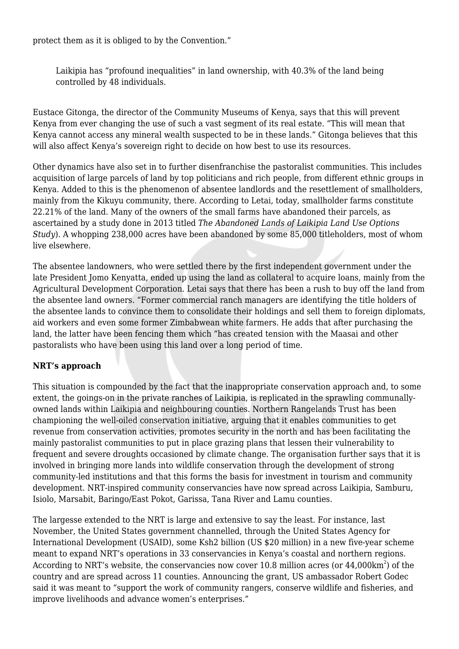protect them as it is obliged to by the Convention."

Laikipia has "profound inequalities" in land ownership, with 40.3% of the land being controlled by 48 individuals.

Eustace Gitonga, the director of the Community Museums of Kenya, says that this will prevent Kenya from ever changing the use of such a vast segment of its real estate. "This will mean that Kenya cannot access any mineral wealth suspected to be in these lands." Gitonga believes that this will also affect Kenya's sovereign right to decide on how best to use its resources.

Other dynamics have also set in to further disenfranchise the pastoralist communities. This includes acquisition of large parcels of land by top politicians and rich people, from different ethnic groups in Kenya. Added to this is the phenomenon of absentee landlords and the resettlement of smallholders, mainly from the Kikuyu community, there. According to Letai, today, smallholder farms constitute 22.21% of the land. Many of the owners of the small farms have abandoned their parcels, as ascertained by a study done in 2013 titled *The Abandoned Lands of Laikipia Land Use Options Study*). A whopping 238,000 acres have been abandoned by some 85,000 titleholders, most of whom live elsewhere.

The absentee landowners, who were settled there by the first independent government under the late President Jomo Kenyatta, ended up using the land as collateral to acquire loans, mainly from the Agricultural Development Corporation. Letai says that there has been a rush to buy off the land from the absentee land owners. "Former commercial ranch managers are identifying the title holders of the absentee lands to convince them to consolidate their holdings and sell them to foreign diplomats, aid workers and even some former Zimbabwean white farmers. He adds that after purchasing the land, the latter have been fencing them which "has created tension with the Maasai and other pastoralists who have been using this land over a long period of time.

## **NRT's approach**

This situation is compounded by the fact that the inappropriate conservation approach and, to some extent, the goings-on in the private ranches of Laikipia, is replicated in the sprawling communallyowned lands within Laikipia and neighbouring counties. Northern Rangelands Trust has been championing the well-oiled conservation initiative, arguing that it enables communities to get revenue from conservation activities, promotes security in the north and has been facilitating the mainly pastoralist communities to put in place grazing plans that lessen their vulnerability to frequent and severe droughts occasioned by climate change. The organisation further says that it is involved in bringing more lands into wildlife conservation through the development of strong community-led institutions and that this forms the basis for investment in tourism and community development. NRT-inspired community conservancies have now spread across Laikipia, Samburu, Isiolo, Marsabit, Baringo/East Pokot, Garissa, Tana River and Lamu counties.

The largesse extended to the NRT is large and extensive to say the least. For instance, last November, the United States government channelled, through the United States Agency for International Development (USAID), some Ksh2 billion (US \$20 million) in a new five-year scheme meant to expand NRT's operations in 33 conservancies in Kenya's coastal and northern regions. According to NRT's website, the conservancies now cover 10.8 million acres (or  $44,\!000 \rm km^2)$  of the country and are spread across 11 counties. Announcing the grant, US ambassador Robert Godec said it was meant to "support the work of community rangers, conserve wildlife and fisheries, and improve livelihoods and advance women's enterprises."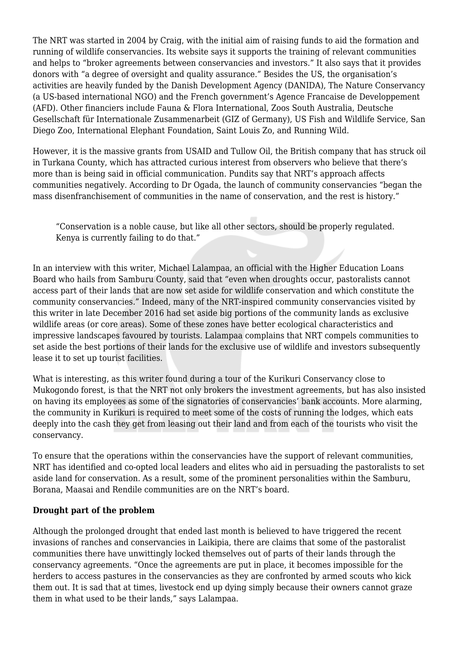The NRT was started in 2004 by Craig, with the initial aim of raising funds to aid the formation and running of wildlife conservancies. Its website says it supports the training of relevant communities and helps to "broker agreements between conservancies and investors." It also says that it provides donors with "a degree of oversight and quality assurance." Besides the US, the organisation's activities are heavily funded by the Danish Development Agency (DANIDA), The Nature Conservancy (a US-based international NGO) and the French government's Agence Francaise de Developpement (AFD). Other financiers include Fauna & Flora International, Zoos South Australia, Deutsche Gesellschaft für Internationale Zusammenarbeit (GIZ of Germany), US Fish and Wildlife Service, San Diego Zoo, International Elephant Foundation, Saint Louis Zo, and Running Wild.

However, it is the massive grants from USAID and Tullow Oil, the British company that has struck oil in Turkana County, which has attracted curious interest from observers who believe that there's more than is being said in official communication. Pundits say that NRT's approach affects communities negatively. According to Dr Ogada, the launch of community conservancies "began the mass disenfranchisement of communities in the name of conservation, and the rest is history."

"Conservation is a noble cause, but like all other sectors, should be properly regulated. Kenya is currently failing to do that."

In an interview with this writer, Michael Lalampaa, an official with the Higher Education Loans Board who hails from Samburu County, said that "even when droughts occur, pastoralists cannot access part of their lands that are now set aside for wildlife conservation and which constitute the community conservancies." Indeed, many of the NRT-inspired community conservancies visited by this writer in late December 2016 had set aside big portions of the community lands as exclusive wildlife areas (or core areas). Some of these zones have better ecological characteristics and impressive landscapes favoured by tourists. Lalampaa complains that NRT compels communities to set aside the best portions of their lands for the exclusive use of wildlife and investors subsequently lease it to set up tourist facilities.

What is interesting, as this writer found during a tour of the Kurikuri Conservancy close to Mukogondo forest, is that the NRT not only brokers the investment agreements, but has also insisted on having its employees as some of the signatories of conservancies' bank accounts. More alarming, the community in Kurikuri is required to meet some of the costs of running the lodges, which eats deeply into the cash they get from leasing out their land and from each of the tourists who visit the conservancy.

To ensure that the operations within the conservancies have the support of relevant communities, NRT has identified and co-opted local leaders and elites who aid in persuading the pastoralists to set aside land for conservation. As a result, some of the prominent personalities within the Samburu, Borana, Maasai and Rendile communities are on the NRT's board.

#### **Drought part of the problem**

Although the prolonged drought that ended last month is believed to have triggered the recent invasions of ranches and conservancies in Laikipia, there are claims that some of the pastoralist communities there have unwittingly locked themselves out of parts of their lands through the conservancy agreements. "Once the agreements are put in place, it becomes impossible for the herders to access pastures in the conservancies as they are confronted by armed scouts who kick them out. It is sad that at times, livestock end up dying simply because their owners cannot graze them in what used to be their lands," says Lalampaa.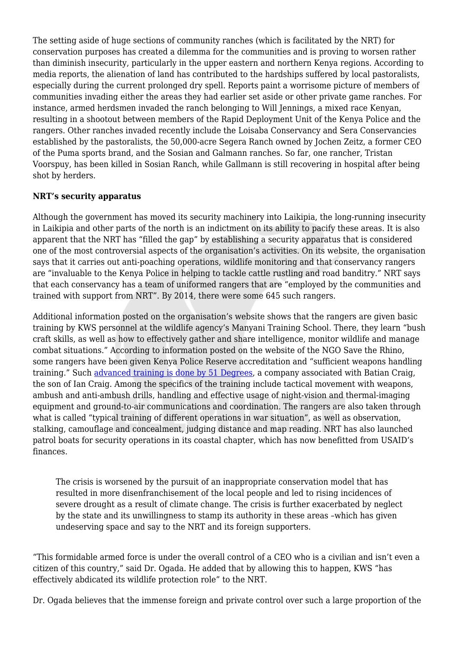The setting aside of huge sections of community ranches (which is facilitated by the NRT) for conservation purposes has created a dilemma for the communities and is proving to worsen rather than diminish insecurity, particularly in the upper eastern and northern Kenya regions. According to media reports, the alienation of land has contributed to the hardships suffered by local pastoralists, especially during the current prolonged dry spell. Reports paint a worrisome picture of members of communities invading either the areas they had earlier set aside or other private game ranches. For instance, armed herdsmen invaded the ranch belonging to Will Jennings, a mixed race Kenyan, resulting in a shootout between members of the Rapid Deployment Unit of the Kenya Police and the rangers. Other ranches invaded recently include the Loisaba Conservancy and Sera Conservancies established by the pastoralists, the 50,000-acre Segera Ranch owned by Jochen Zeitz, a former CEO of the Puma sports brand, and the Sosian and Galmann ranches. So far, one rancher, Tristan Voorspuy, has been killed in Sosian Ranch, while Gallmann is still recovering in hospital after being shot by herders.

### **NRT's security apparatus**

Although the government has moved its security machinery into Laikipia, the long-running insecurity in Laikipia and other parts of the north is an indictment on its ability to pacify these areas. It is also apparent that the NRT has "filled the gap" by establishing a security apparatus that is considered one of the most controversial aspects of the organisation's activities. On its website, the organisation says that it carries out anti-poaching operations, wildlife monitoring and that conservancy rangers are "invaluable to the Kenya Police in helping to tackle cattle rustling and road banditry." NRT says that each conservancy has a team of uniformed rangers that are "employed by the communities and trained with support from NRT". By 2014, there were some 645 such rangers.

Additional information posted on the organisation's website shows that the rangers are given basic training by KWS personnel at the wildlife agency's Manyani Training School. There, they learn "bush craft skills, as well as how to effectively gather and share intelligence, monitor wildlife and manage combat situations." According to information posted on the website of the NGO Save the Rhino, some rangers have been given Kenya Police Reserve accreditation and "sufficient weapons handling training." Such [advanced training is done by 51 Degrees,](https://www.savetherhino.org/latest_news/news/1021_training_rangers_on_the_frontline_in_ol_jogi_conservancy) a company associated with Batian Craig, the son of Ian Craig. Among the specifics of the training include tactical movement with weapons, ambush and anti-ambush drills, handling and effective usage of night-vision and thermal-imaging equipment and ground-to-air communications and coordination. The rangers are also taken through what is called "typical training of different operations in war situation", as well as observation, stalking, camouflage and concealment, judging distance and map reading. NRT has also launched patrol boats for security operations in its coastal chapter, which has now benefitted from USAID's finances.

The crisis is worsened by the pursuit of an inappropriate conservation model that has resulted in more disenfranchisement of the local people and led to rising incidences of severe drought as a result of climate change. The crisis is further exacerbated by neglect by the state and its unwillingness to stamp its authority in these areas –which has given undeserving space and say to the NRT and its foreign supporters.

"This formidable armed force is under the overall control of a CEO who is a civilian and isn't even a citizen of this country," said Dr. Ogada. He added that by allowing this to happen, KWS "has effectively abdicated its wildlife protection role" to the NRT.

Dr. Ogada believes that the immense foreign and private control over such a large proportion of the